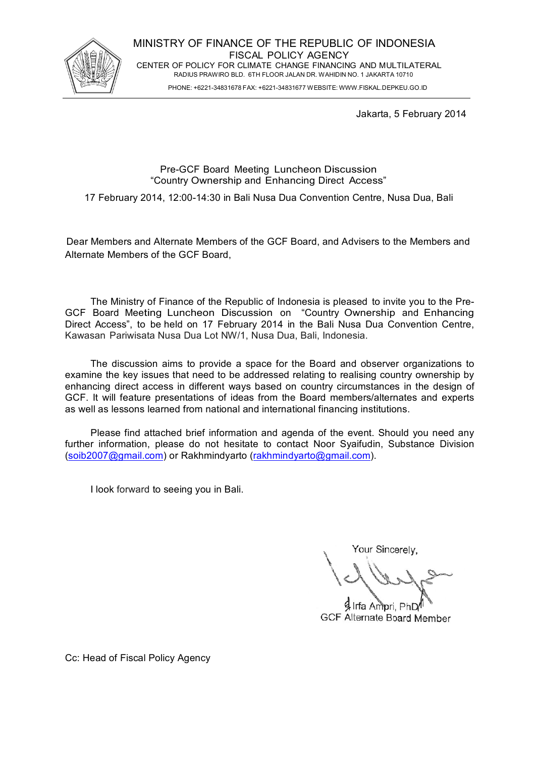

PHONE: +6221-34831678 FAX: +6221-34831677 WEBSITE: WWW.FISKAL.DEPKEU.GO.ID

Jakarta, 5 February 2014

# Pre-GCF Board Meeting Luncheon Discussion "Country Ownership and Enhancing Direct Access"

17 February 2014, 12:00-14:30 in Bali Nusa Dua Convention Centre, Nusa Dua, Bali

Dear Members and Alternate Members of the GCF Board, and Advisers to the Members and Alternate Members of the GCF Board,

The Ministry of Finance of the Republic of Indonesia is pleased to invite you to the Pre-GCF Board Meeting Luncheon Discussion on "Country Ownership and Enhancing Direct Access", to be held on 17 February 2014 in the Bali Nusa Dua Convention Centre, Kawasan Pariwisata Nusa Dua Lot NW/1, Nusa Dua, Bali, Indonesia.

The discussion aims to provide a space for the Board and observer organizations to examine the key issues that need to be addressed relating to realising country ownership by enhancing direct access in different ways based on country circumstances in the design of GCF. It will feature presentations of ideas from the Board members/alternates and experts as well as lessons learned from national and international financing institutions.

Please find attached brief information and agenda of the event. Should you need any further information, please do not hesitate to contact Noor Syaifudin, Substance Division (soib2007@gmail.com) or Rakhmindyarto (rakhmindyarto@gmail.com).

I look forward to seeing you in Bali.

Your Sincerely,

Irfa Ampri, PhD **GCF Alternate Board Member** 

Cc: Head of Fiscal Policy Agency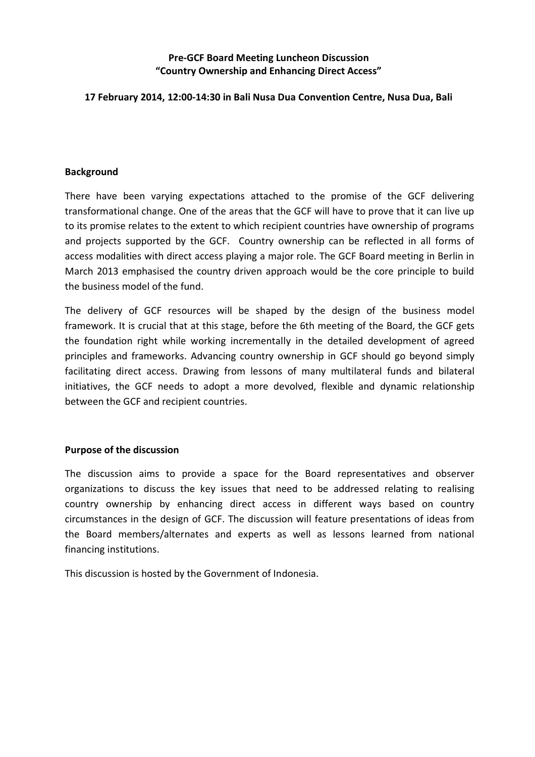# **Pre-GCF Board Meeting Luncheon Discussion "Country Ownership and Enhancing Direct Access"**

# **17 February 2014, 12:00-14:30 in Bali Nusa Dua Convention Centre, Nusa Dua, Bali**

#### **Background**

There have been varying expectations attached to the promise of the GCF delivering transformational change. One of the areas that the GCF will have to prove that it can live up to its promise relates to the extent to which recipient countries have ownership of programs and projects supported by the GCF. Country ownership can be reflected in all forms of access modalities with direct access playing a major role. The GCF Board meeting in Berlin in March 2013 emphasised the country driven approach would be the core principle to build the business model of the fund.

The delivery of GCF resources will be shaped by the design of the business model framework. It is crucial that at this stage, before the 6th meeting of the Board, the GCF gets the foundation right while working incrementally in the detailed development of agreed principles and frameworks. Advancing country ownership in GCF should go beyond simply facilitating direct access. Drawing from lessons of many multilateral funds and bilateral initiatives, the GCF needs to adopt a more devolved, flexible and dynamic relationship between the GCF and recipient countries.

# **Purpose of the discussion**

The discussion aims to provide a space for the Board representatives and observer organizations to discuss the key issues that need to be addressed relating to realising country ownership by enhancing direct access in different ways based on country circumstances in the design of GCF. The discussion will feature presentations of ideas from the Board members/alternates and experts as well as lessons learned from national financing institutions.

This discussion is hosted by the Government of Indonesia.